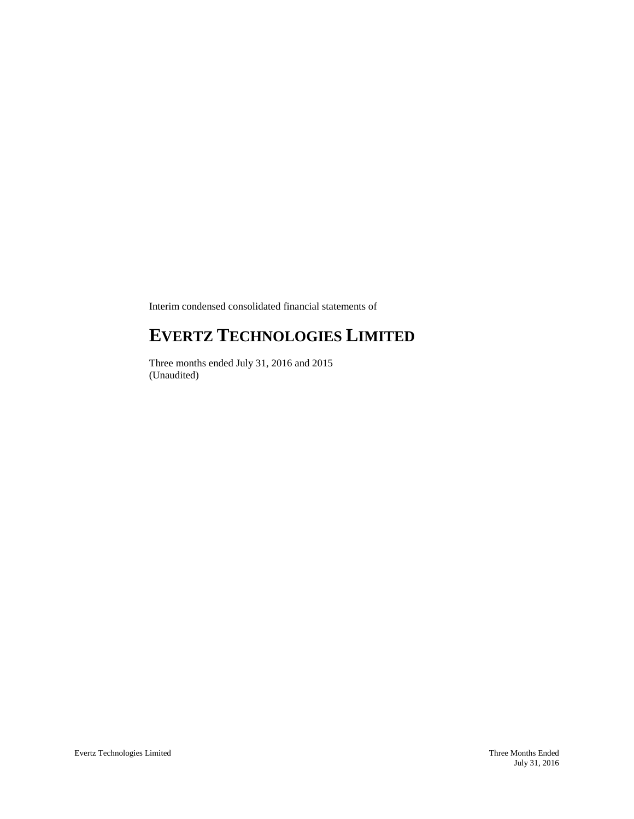Interim condensed consolidated financial statements of

# **EVERTZ TECHNOLOGIES LIMITED**

Three months ended July 31, 2016 and 2015 (Unaudited)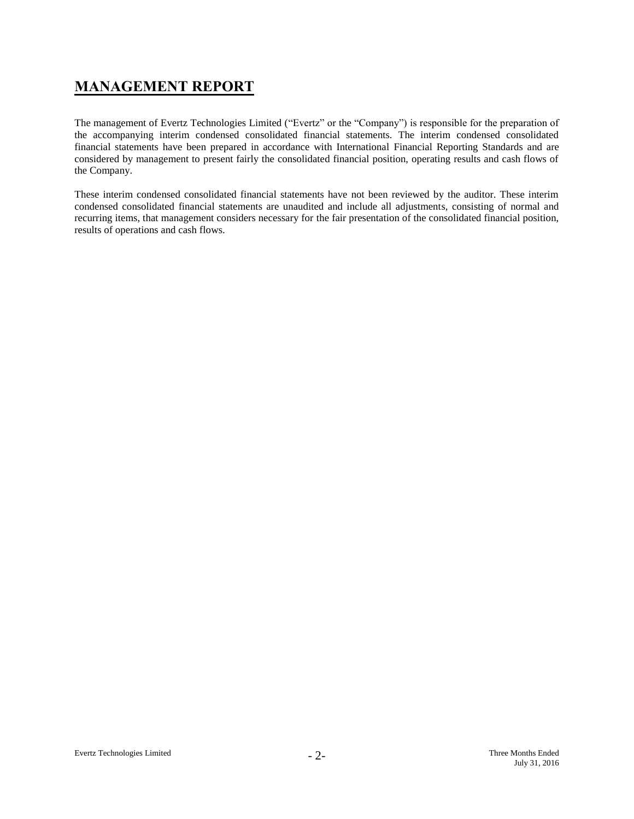# **MANAGEMENT REPORT**

The management of Evertz Technologies Limited ("Evertz" or the "Company") is responsible for the preparation of the accompanying interim condensed consolidated financial statements. The interim condensed consolidated financial statements have been prepared in accordance with International Financial Reporting Standards and are considered by management to present fairly the consolidated financial position, operating results and cash flows of the Company.

These interim condensed consolidated financial statements have not been reviewed by the auditor. These interim condensed consolidated financial statements are unaudited and include all adjustments, consisting of normal and recurring items, that management considers necessary for the fair presentation of the consolidated financial position, results of operations and cash flows.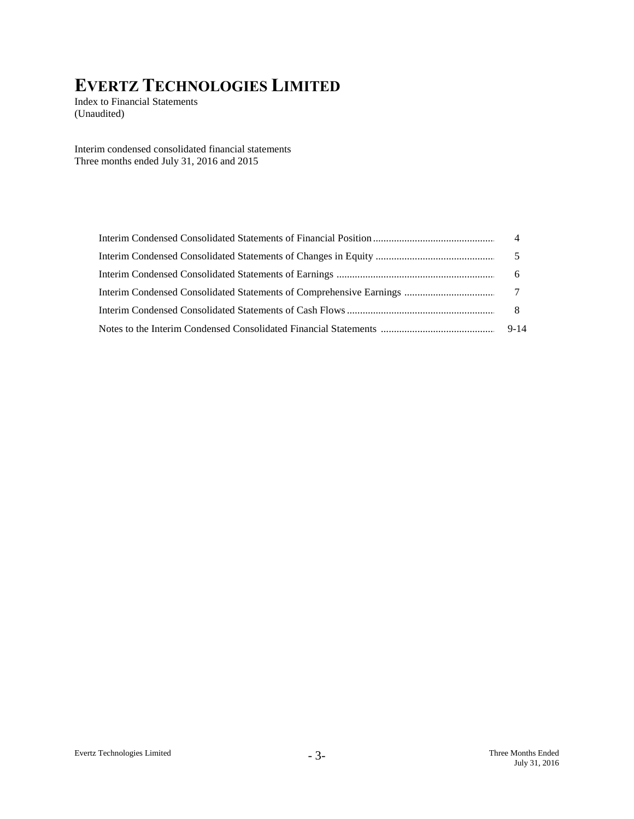Index to Financial Statements (Unaudited)

Interim condensed consolidated financial statements Three months ended July 31, 2016 and 2015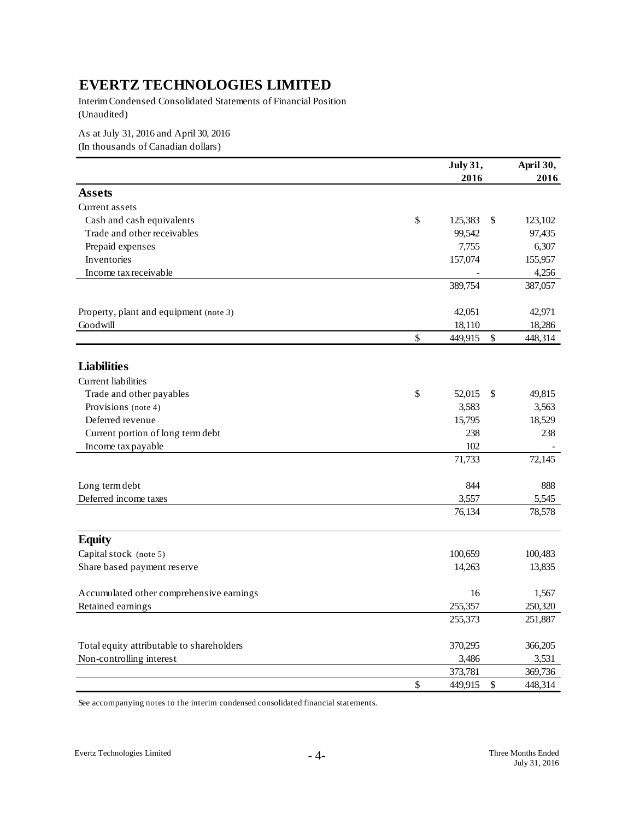Interim Condensed Consolidated Statements of Financial Position (Unaudited)

As at July 31, 2016 and April 30, 2016

(In thousands of Canadian dollars)

|                                           |               | July 31,      |               | April 30,        |
|-------------------------------------------|---------------|---------------|---------------|------------------|
|                                           |               | 2016          |               | 2016             |
| <b>Assets</b>                             |               |               |               |                  |
| Current assets                            |               |               |               |                  |
| Cash and cash equivalents                 | $\mathsf{\$}$ | 125,383       | <sup>\$</sup> | 123,102          |
| Trade and other receivables               |               | 99,542        |               | 97,435           |
| Prepaid expenses                          |               | 7,755         |               | 6,307            |
| Inventories                               |               | 157,074       |               | 155,957          |
| Income tax receivable                     |               |               |               | 4,256            |
|                                           |               | 389,754       |               | 387,057          |
| Property, plant and equipment (note 3)    |               | 42,051        |               | 42,971           |
| Goodwill                                  |               | 18,110        |               | 18,286           |
|                                           | \$            | 449,915       | \$            | 448,314          |
|                                           |               |               |               |                  |
| <b>Liabilities</b>                        |               |               |               |                  |
| Current liabilities                       |               |               |               |                  |
| Trade and other payables                  | \$            | 52,015        | \$            | 49,815           |
| Provisions (note 4)                       |               | 3,583         |               | 3,563            |
| Deferred revenue                          |               | 15,795        |               | 18,529           |
| Current portion of long term debt         |               | 238           |               | 238              |
| Income tax payable                        |               | 102           |               |                  |
|                                           |               | 71,733        |               | 72,145           |
| Long term debt                            |               | 844           |               | 888              |
| Deferred income taxes                     |               | 3,557         |               | 5,545            |
|                                           |               | 76,134        |               | 78,578           |
| <b>Equity</b>                             |               |               |               |                  |
| Capital stock (note 5)                    |               | 100,659       |               | 100,483          |
| Share based payment reserve               |               | 14,263        |               | 13,835           |
|                                           |               |               |               |                  |
| Accumulated other comprehensive earnings  |               | 16<br>255,357 |               | 1,567<br>250,320 |
| Retained earnings                         |               | 255,373       |               | 251,887          |
|                                           |               |               |               |                  |
| Total equity attributable to shareholders |               | 370,295       |               | 366,205          |
| Non-controlling interest                  |               | 3,486         |               | 3,531            |
|                                           |               | 373,781       |               | 369,736          |
|                                           | \$            | 449,915       | \$            | 448,314          |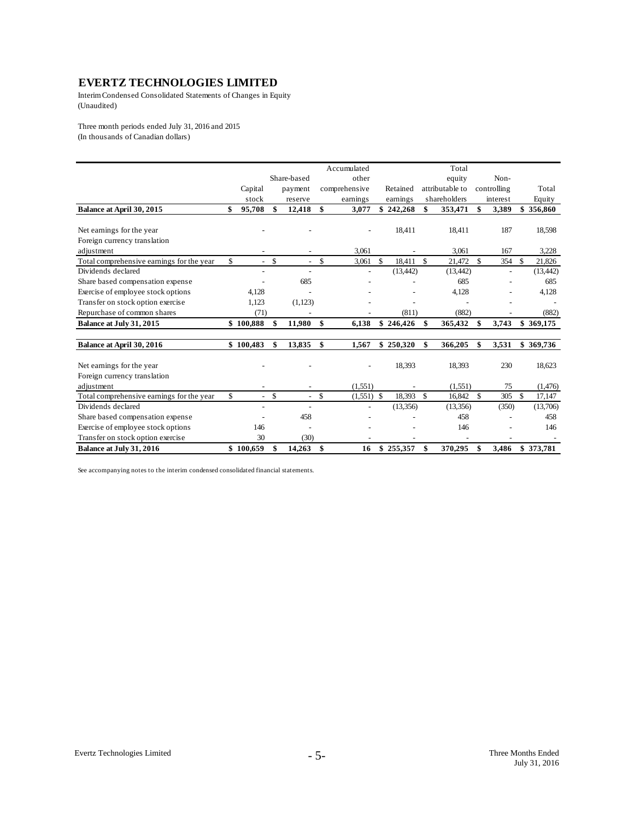Interim Condensed Consolidated Statements of Changes in Equity (Unaudited)

Three month periods ended July 31, 2016 and 2015 (In thousands of Canadian dollars)

|                                           |              |                                           |                          |              | Accumulated   |              |                    | Total           |             |               |
|-------------------------------------------|--------------|-------------------------------------------|--------------------------|--------------|---------------|--------------|--------------------|-----------------|-------------|---------------|
|                                           |              |                                           | Share-based              |              | other         |              |                    | equity          | Non-        |               |
|                                           | Capital      |                                           | payment                  |              | comprehensive | Retained     |                    | attributable to | controlling | Total         |
|                                           | stock        |                                           | reserve                  |              | earnings      | earnings     |                    | shareholders    | interest    | Equity        |
| Balance at April 30, 2015                 | 95,708<br>\$ | \$                                        | 12,418                   | \$           | 3,077         | \$242,268    | \$                 | 353,471         | \$<br>3,389 | \$<br>356,860 |
|                                           |              |                                           |                          |              |               |              |                    |                 |             |               |
| Net earnings for the year                 |              |                                           |                          |              |               | 18,411       |                    | 18.411          | 187         | 18,598        |
| Foreign currency translation              |              |                                           |                          |              |               |              |                    |                 |             |               |
| adjustment                                |              |                                           |                          |              | 3.061         |              |                    | 3.061           | 167         | 3.228         |
| Total comprehensive earnings for the year | \$           | $\mathbb{S}$<br>$\overline{a}$            | ÷                        | $\mathbb{S}$ | 3,061         | \$<br>18.411 | $\mathbf{\hat{s}}$ | 21.472          | \$<br>354   | \$<br>21.826  |
| Dividends declared                        |              |                                           |                          |              |               | (13, 442)    |                    | (13, 442)       |             | (13, 442)     |
| Share based compensation expense          |              |                                           | 685                      |              |               |              |                    | 685             |             | 685           |
| Exercise of employee stock options        | 4,128        |                                           |                          |              |               |              |                    | 4,128           |             | 4,128         |
| Transfer on stock option exercise         | 1,123        |                                           | (1,123)                  |              |               |              |                    |                 |             |               |
| Repurchase of common shares               | (71)         |                                           |                          |              |               | (811)        |                    | (882)           |             | (882)         |
| Balance at July 31, 2015                  | \$100.888    | \$                                        | 11,980                   | \$           | 6.138         | \$246,426    | \$                 | 365,432         | \$<br>3.743 | \$369,175     |
|                                           |              |                                           |                          |              |               |              |                    |                 |             |               |
| Balance at April 30, 2016                 | \$100,483    | \$                                        | 13,835                   | \$           | 1,567         | \$250,320    | \$                 | 366,205         | \$<br>3,531 | \$369,736     |
| Net earnings for the year                 |              |                                           |                          |              |               | 18,393       |                    | 18.393          | 230         | 18,623        |
| Foreign currency translation              |              |                                           |                          |              |               |              |                    |                 |             |               |
| adjustment                                |              |                                           |                          |              | (1,551)       |              |                    | (1.551)         | 75          | (1,476)       |
| Total comprehensive earnings for the year | \$           | $\mathsf{\$}$<br>$\overline{\phantom{a}}$ | $\overline{\phantom{a}}$ | \$           | $(1,551)$ \$  | 18,393       | $\mathcal{S}$      | 16.842          | \$<br>305   | \$<br>17.147  |
| Dividends declared                        |              |                                           |                          |              |               | (13,356)     |                    | (13,356)        | (350)       | (13,706)      |
| Share based compensation expense          |              |                                           | 458                      |              |               |              |                    | 458             |             | 458           |
| Exercise of employee stock options        | 146          |                                           |                          |              |               |              |                    | 146             |             | 146           |
| Transfer on stock option exercise         | 30           |                                           | (30)                     |              |               |              |                    |                 |             |               |
| Balance at July 31, 2016                  | \$100,659    | \$                                        | 14,263                   | - \$         | 16            | \$255,357    | \$                 | 370,295         | \$<br>3,486 | \$373,781     |
|                                           |              |                                           |                          |              |               |              |                    |                 |             |               |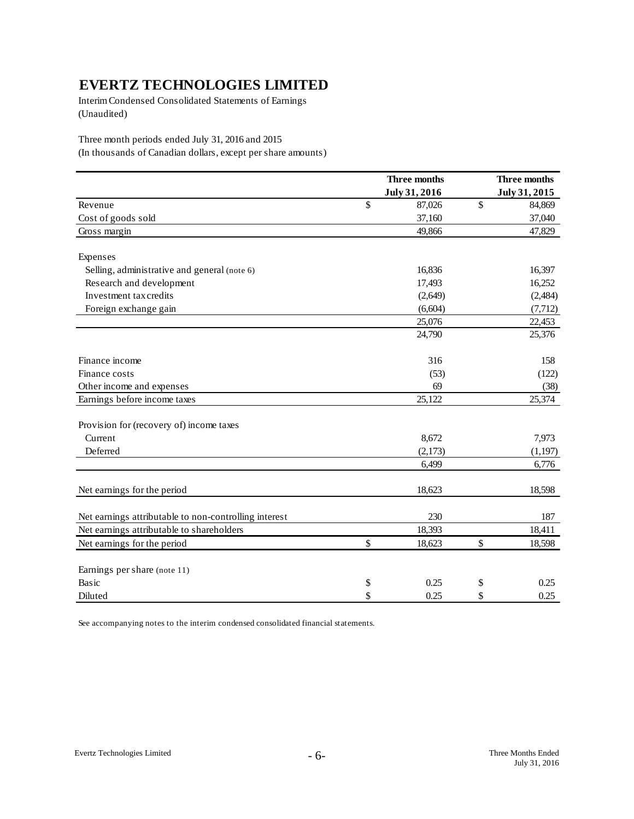Interim Condensed Consolidated Statements of Earnings (Unaudited)

Three month periods ended July 31, 2016 and 2015

(In thousands of Canadian dollars, except per share amounts)

|                                                       | Three months<br>July 31, 2016 | Three months<br>July 31, 2015 |
|-------------------------------------------------------|-------------------------------|-------------------------------|
| Revenue                                               | \$<br>87,026                  | \$<br>84,869                  |
| Cost of goods sold                                    | 37,160                        | 37,040                        |
| Gross margin                                          | 49,866                        | 47,829                        |
| Expenses                                              |                               |                               |
| Selling, administrative and general (note 6)          | 16,836                        | 16,397                        |
| Research and development                              | 17,493                        | 16,252                        |
| Investment tax credits                                | (2,649)                       | (2,484)                       |
| Foreign exchange gain                                 | (6,604)                       | (7, 712)                      |
|                                                       | 25,076                        | 22,453                        |
|                                                       | 24,790                        | 25,376                        |
| Finance income                                        | 316                           | 158                           |
| Finance costs                                         | (53)                          | (122)                         |
| Other income and expenses                             | 69                            | (38)                          |
| Earnings before income taxes                          | 25,122                        | 25,374                        |
| Provision for (recovery of) income taxes              |                               |                               |
| Current                                               | 8,672                         | 7,973                         |
| Deferred                                              | (2,173)                       | (1, 197)                      |
|                                                       | 6,499                         | 6,776                         |
| Net earnings for the period                           | 18,623                        | 18,598                        |
| Net earnings attributable to non-controlling interest | 230                           | 187                           |
| Net earnings attributable to shareholders             | 18,393                        | 18,411                        |
| Net earnings for the period                           | \$<br>18,623                  | \$<br>18,598                  |
| Earnings per share (note 11)                          |                               |                               |
| Basic                                                 | \$<br>0.25                    | \$<br>0.25                    |
| Diluted                                               | \$<br>0.25                    | \$<br>0.25                    |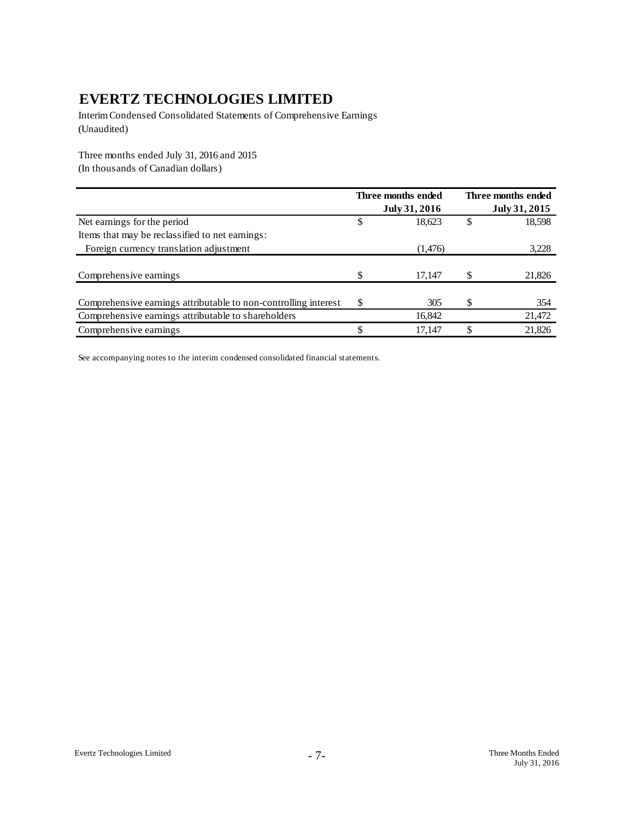Interim Condensed Consolidated Statements of Comprehensive Earnings (Unaudited)

Three months ended July 31, 2016 and 2015

(In thousands of Canadian dollars)

|                                                                 | Three months ended | Three months ended |
|-----------------------------------------------------------------|--------------------|--------------------|
|                                                                 | July 31, 2016      | July 31, 2015      |
| Net earnings for the period                                     | 18,623             | 18,598             |
| Items that may be reclassified to net earnings:                 |                    |                    |
| Foreign currency translation adjustment                         | (1,476)            | 3,228              |
|                                                                 |                    |                    |
| Comprehensive earnings                                          | \$<br>17,147       | 21,826             |
|                                                                 |                    |                    |
| Comprehensive earnings attributable to non-controlling interest | \$<br>305          | 354                |
| Comprehensive earnings attributable to shareholders             | 16,842             | 21,472             |
| Comprehensive earnings                                          | 17.147             | 21,826             |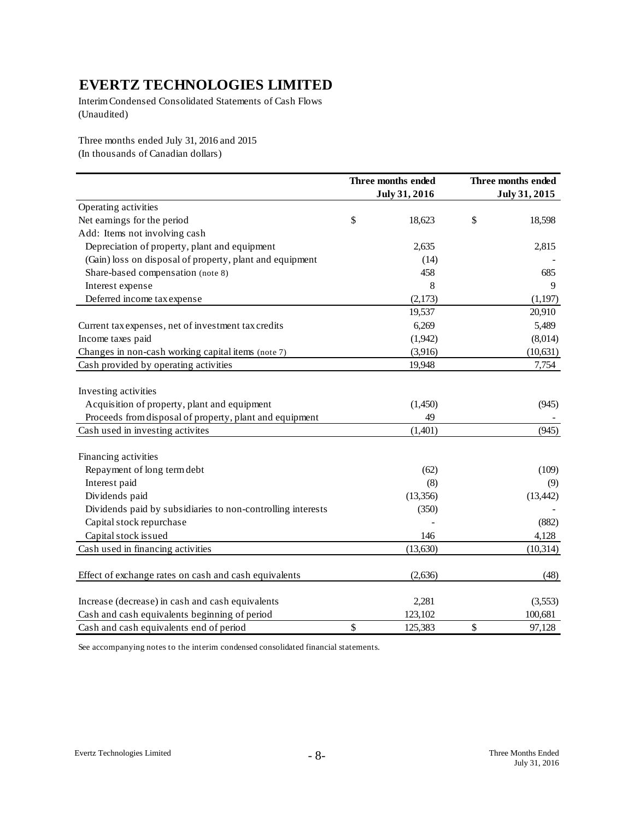Interim Condensed Consolidated Statements of Cash Flows (Unaudited)

Three months ended July 31, 2016 and 2015 (In thousands of Canadian dollars)

|                                                             | Three months ended<br>July 31, 2016 | Three months ended<br>July 31, 2015 |
|-------------------------------------------------------------|-------------------------------------|-------------------------------------|
| Operating activities                                        |                                     |                                     |
| Net earnings for the period                                 | \$<br>18,623                        | \$<br>18,598                        |
| Add: Items not involving cash                               |                                     |                                     |
| Depreciation of property, plant and equipment               | 2,635                               | 2,815                               |
| (Gain) loss on disposal of property, plant and equipment    | (14)                                |                                     |
| Share-based compensation (note 8)                           | 458                                 | 685                                 |
| Interest expense                                            | 8                                   | 9                                   |
| Deferred income tax expense                                 | (2,173)                             | (1,197)                             |
|                                                             | 19,537                              | 20,910                              |
| Current tax expenses, net of investment tax credits         | 6,269                               | 5,489                               |
| Income taxes paid                                           | (1,942)                             | (8,014)                             |
| Changes in non-cash working capital items (note 7)          | (3,916)                             | (10, 631)                           |
| Cash provided by operating activities                       | 19,948                              | 7,754                               |
| Investing activities                                        |                                     |                                     |
| Acquisition of property, plant and equipment                | (1,450)                             | (945)                               |
| Proceeds from disposal of property, plant and equipment     | 49                                  |                                     |
| Cash used in investing activites                            | (1,401)                             | (945)                               |
| Financing activities                                        |                                     |                                     |
| Repayment of long term debt                                 | (62)                                | (109)                               |
| Interest paid                                               | (8)                                 | (9)                                 |
| Dividends paid                                              | (13, 356)                           | (13, 442)                           |
| Dividends paid by subsidiaries to non-controlling interests | (350)                               |                                     |
| Capital stock repurchase                                    |                                     | (882)                               |
| Capital stock issued                                        | 146                                 | 4,128                               |
| Cash used in financing activities                           | (13, 630)                           | (10, 314)                           |
| Effect of exchange rates on cash and cash equivalents       | (2,636)                             | (48)                                |
| Increase (decrease) in cash and cash equivalents            | 2,281                               | (3,553)                             |
| Cash and cash equivalents beginning of period               | 123,102                             | 100,681                             |
| Cash and cash equivalents end of period                     | \$<br>125,383                       | \$<br>97,128                        |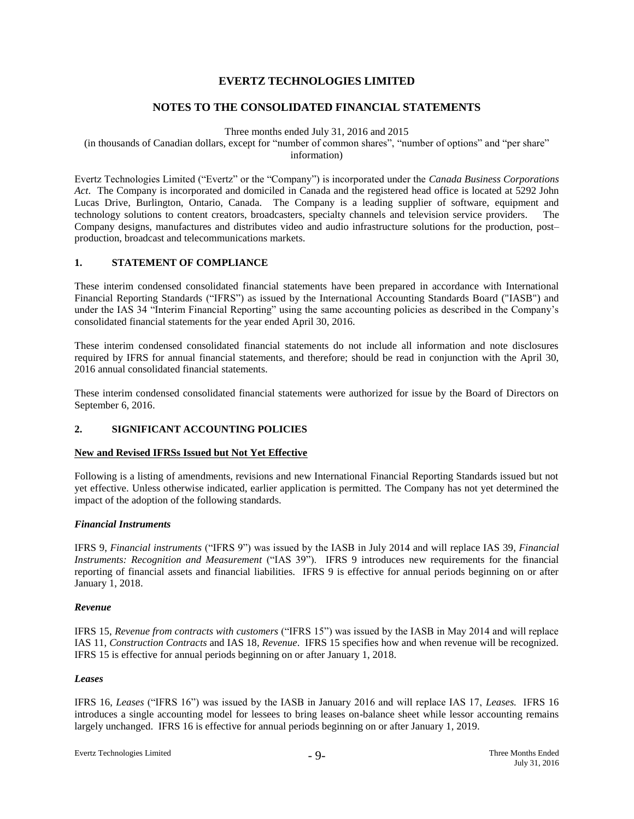## **NOTES TO THE CONSOLIDATED FINANCIAL STATEMENTS**

Three months ended July 31, 2016 and 2015

(in thousands of Canadian dollars, except for "number of common shares", "number of options" and "per share" information)

Evertz Technologies Limited ("Evertz" or the "Company") is incorporated under the *Canada Business Corporations Act*. The Company is incorporated and domiciled in Canada and the registered head office is located at 5292 John Lucas Drive, Burlington, Ontario, Canada. The Company is a leading supplier of software, equipment and technology solutions to content creators, broadcasters, specialty channels and television service providers. The Company designs, manufactures and distributes video and audio infrastructure solutions for the production, post– production, broadcast and telecommunications markets.

### **1. STATEMENT OF COMPLIANCE**

These interim condensed consolidated financial statements have been prepared in accordance with International Financial Reporting Standards ("IFRS") as issued by the International Accounting Standards Board ("IASB") and under the IAS 34 "Interim Financial Reporting" using the same accounting policies as described in the Company's consolidated financial statements for the year ended April 30, 2016.

These interim condensed consolidated financial statements do not include all information and note disclosures required by IFRS for annual financial statements, and therefore; should be read in conjunction with the April 30, 2016 annual consolidated financial statements.

These interim condensed consolidated financial statements were authorized for issue by the Board of Directors on September 6, 2016.

## **2. SIGNIFICANT ACCOUNTING POLICIES**

## **New and Revised IFRSs Issued but Not Yet Effective**

Following is a listing of amendments, revisions and new International Financial Reporting Standards issued but not yet effective. Unless otherwise indicated, earlier application is permitted. The Company has not yet determined the impact of the adoption of the following standards.

## *Financial Instruments*

IFRS 9, *Financial instruments* ("IFRS 9") was issued by the IASB in July 2014 and will replace IAS 39, *Financial Instruments: Recognition and Measurement* ("IAS 39"). IFRS 9 introduces new requirements for the financial reporting of financial assets and financial liabilities. IFRS 9 is effective for annual periods beginning on or after January 1, 2018.

#### *Revenue*

IFRS 15, *Revenue from contracts with customers* ("IFRS 15") was issued by the IASB in May 2014 and will replace IAS 11, *Construction Contracts* and IAS 18, *Revenue*. IFRS 15 specifies how and when revenue will be recognized. IFRS 15 is effective for annual periods beginning on or after January 1, 2018.

## *Leases*

IFRS 16, *Leases* ("IFRS 16") was issued by the IASB in January 2016 and will replace IAS 17, *Leases.* IFRS 16 introduces a single accounting model for lessees to bring leases on-balance sheet while lessor accounting remains largely unchanged. IFRS 16 is effective for annual periods beginning on or after January 1, 2019.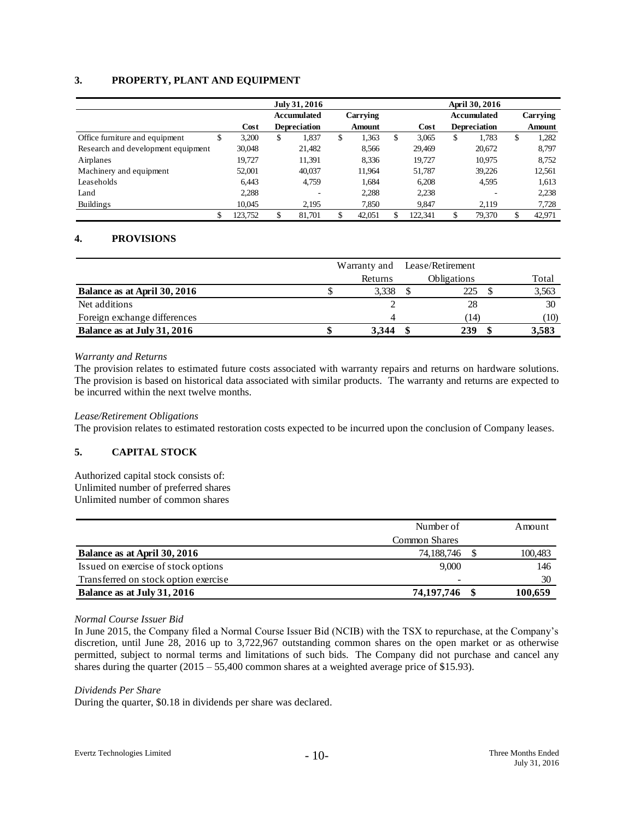## **3. PROPERTY, PLANT AND EQUIPMENT**

|                                    |    |         | July 31, 2016       |          |               | April 30, 2016 |         |                    |                     |          |        |
|------------------------------------|----|---------|---------------------|----------|---------------|----------------|---------|--------------------|---------------------|----------|--------|
|                                    |    |         | <b>Accumulated</b>  | Carrying |               |                |         | <b>Accumulated</b> |                     | Carrying |        |
|                                    |    | Cost    | <b>Depreciation</b> |          | <b>Amount</b> |                | Cost    |                    | <b>Depreciation</b> |          | Amount |
| Office furniture and equipment     | J  | 3,200   | \$<br>1,837         | \$       | 1,363         | \$             | 3.065   | \$                 | 1.783               | \$       | 1,282  |
| Research and development equipment |    | 30,048  | 21,482              |          | 8,566         |                | 29,469  |                    | 20,672              |          | 8,797  |
| Airplanes                          |    | 19.727  | 11.391              |          | 8,336         |                | 19.727  |                    | 10.975              |          | 8,752  |
| Machinery and equipment            |    | 52,001  | 40,037              |          | 11,964        |                | 51,787  |                    | 39,226              |          | 12,561 |
| Leaseholds                         |    | 6.443   | 4.759               |          | 1,684         |                | 6.208   |                    | 4.595               |          | 1,613  |
| Land                               |    | 2,288   |                     |          | 2,288         |                | 2,238   |                    |                     |          | 2,238  |
| <b>Buildings</b>                   |    | 10.045  | 2.195               |          | 7,850         |                | 9.847   |                    | 2.119               |          | 7,728  |
|                                    | \$ | 123,752 | 81.701              |          | 42,051        |                | 122.341 |                    | 79,370              |          | 42,971 |

## **4. PROVISIONS**

|                              |         | Warranty and Lease/Retirement |       |
|------------------------------|---------|-------------------------------|-------|
|                              | Returns | <b>Obligations</b>            | Total |
| Balance as at April 30, 2016 | 3,338   | 225                           | 3,563 |
| Net additions                |         | 28                            | 30    |
| Foreign exchange differences | Δ       | (14                           | (10)  |
| Balance as at July 31, 2016  | 3.344   | 239                           | 3,583 |

### *Warranty and Returns*

The provision relates to estimated future costs associated with warranty repairs and returns on hardware solutions. The provision is based on historical data associated with similar products. The warranty and returns are expected to be incurred within the next twelve months.

#### *Lease/Retirement Obligations*

The provision relates to estimated restoration costs expected to be incurred upon the conclusion of Company leases.

## **5. CAPITAL STOCK**

## Authorized capital stock consists of:

Unlimited number of preferred shares Unlimited number of common shares

|                                      | Number of     | Amount  |
|--------------------------------------|---------------|---------|
|                                      | Common Shares |         |
| Balance as at April 30, 2016         | 74,188,746    | 100,483 |
| Issued on exercise of stock options  | 9,000         | 146     |
| Transferred on stock option exercise | ٠             | 30      |
| Balance as at July 31, 2016          | 74,197,746    | 100.659 |

#### *Normal Course Issuer Bid*

In June 2015, the Company filed a Normal Course Issuer Bid (NCIB) with the TSX to repurchase, at the Company's discretion, until June 28, 2016 up to 3,722,967 outstanding common shares on the open market or as otherwise permitted, subject to normal terms and limitations of such bids. The Company did not purchase and cancel any shares during the quarter (2015 – 55,400 common shares at a weighted average price of \$15.93).

*Dividends Per Share*

During the quarter, \$0.18 in dividends per share was declared.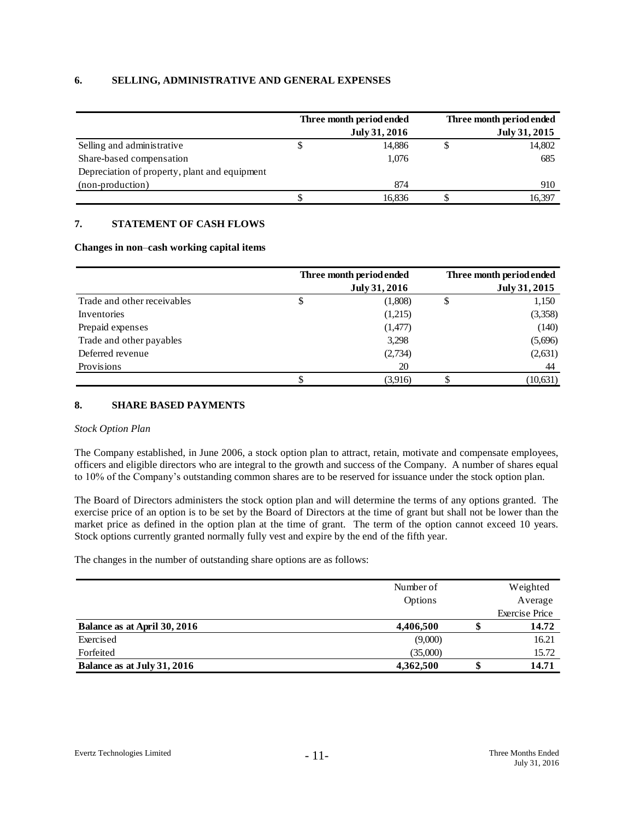## **6. SELLING, ADMINISTRATIVE AND GENERAL EXPENSES**

|                                               |   | Three month period ended | Three month period ended |
|-----------------------------------------------|---|--------------------------|--------------------------|
|                                               |   | July 31, 2016            | July 31, 2015            |
| Selling and administrative                    | D | 14,886                   | 14,802                   |
| Share-based compensation                      |   | 1.076                    | 685                      |
| Depreciation of property, plant and equipment |   |                          |                          |
| (non-production)                              |   | 874                      | 910                      |
|                                               |   | 16.836                   | 16,397                   |

## **7. STATEMENT OF CASH FLOWS**

### **Changes in non**–**cash working capital items**

|                             | Three month period ended | Three month period ended |
|-----------------------------|--------------------------|--------------------------|
|                             | July 31, 2016            | July 31, 2015            |
| Trade and other receivables | \$<br>(1,808)            | 1,150                    |
| Inventories                 | (1,215)                  | (3,358)                  |
| Prepaid expenses            | (1,477)                  | (140)                    |
| Trade and other payables    | 3,298                    | (5,696)                  |
| Deferred revenue            | (2,734)                  | (2, 631)                 |
| Provisions                  | 20                       | 44                       |
|                             | (3.916)                  | (10, 631)                |

## **8. SHARE BASED PAYMENTS**

#### *Stock Option Plan*

The Company established, in June 2006, a stock option plan to attract, retain, motivate and compensate employees, officers and eligible directors who are integral to the growth and success of the Company. A number of shares equal to 10% of the Company's outstanding common shares are to be reserved for issuance under the stock option plan.

The Board of Directors administers the stock option plan and will determine the terms of any options granted. The exercise price of an option is to be set by the Board of Directors at the time of grant but shall not be lower than the market price as defined in the option plan at the time of grant. The term of the option cannot exceed 10 years. Stock options currently granted normally fully vest and expire by the end of the fifth year.

The changes in the number of outstanding share options are as follows:

|                              | Number of | Weighted              |
|------------------------------|-----------|-----------------------|
|                              | Options   | Average               |
|                              |           | <b>Exercise Price</b> |
| Balance as at April 30, 2016 | 4,406,500 | 14.72                 |
| Exercised                    | (9,000)   | 16.21                 |
| Forfeited                    | (35,000)  | 15.72                 |
| Balance as at July 31, 2016  | 4,362,500 | 14.71                 |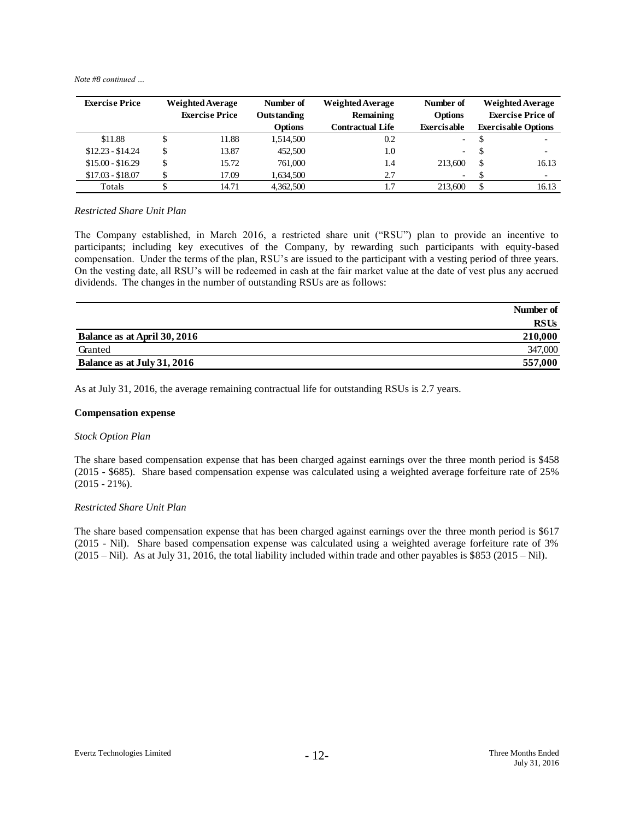*Note #8 continued …*

| <b>Exercise Price</b> | <b>Weighted Average</b> |       | Number of      | <b>Weighted Average</b> | Number of                | <b>Weighted Average</b>  |                            |
|-----------------------|-------------------------|-------|----------------|-------------------------|--------------------------|--------------------------|----------------------------|
|                       | <b>Exercise Price</b>   |       | Outstanding    | Remaining               | Options                  | <b>Exercise Price of</b> |                            |
|                       |                         |       | <b>Options</b> | Contractual Life        | Exercisable              |                          | <b>Exercisable Options</b> |
| \$11.88               |                         | 11.88 | 1,514,500      | 0.2                     | $\sim$                   |                          | $\overline{\phantom{0}}$   |
| $$12.23 - $14.24$     | \$                      | 13.87 | 452,500        | 1.0                     | $-$                      | S                        | $\overline{\phantom{a}}$   |
| $$15.00 - $16.29$     | \$                      | 15.72 | 761,000        | 1.4                     | 213,600                  | <sup>\$</sup>            | 16.13                      |
| $$17.03 - $18.07$     |                         | 17.09 | 1,634,500      | 2.7                     | $\overline{\phantom{a}}$ |                          | $\overline{\phantom{a}}$   |
| Totals                |                         | 14.71 | 4,362,500      | 1.7                     | 213,600                  |                          | 16.13                      |

#### *Restricted Share Unit Plan*

The Company established, in March 2016, a restricted share unit ("RSU") plan to provide an incentive to participants; including key executives of the Company, by rewarding such participants with equity-based compensation. Under the terms of the plan, RSU's are issued to the participant with a vesting period of three years. On the vesting date, all RSU's will be redeemed in cash at the fair market value at the date of vest plus any accrued dividends. The changes in the number of outstanding RSUs are as follows:

|                              | Number of |
|------------------------------|-----------|
|                              | RSUs      |
| Balance as at April 30, 2016 | 210,000   |
| Granted                      | 347,000   |
| Balance as at July 31, 2016  | 557,000   |

As at July 31, 2016, the average remaining contractual life for outstanding RSUs is 2.7 years.

## **Compensation expense**

#### *Stock Option Plan*

The share based compensation expense that has been charged against earnings over the three month period is \$458 (2015 - \$685). Share based compensation expense was calculated using a weighted average forfeiture rate of 25%  $(2015 - 21\%)$ .

#### *Restricted Share Unit Plan*

The share based compensation expense that has been charged against earnings over the three month period is \$617 (2015 - Nil). Share based compensation expense was calculated using a weighted average forfeiture rate of 3%  $(2015 - Nil)$ . As at July 31, 2016, the total liability included within trade and other payables is \$853 (2015 – Nil).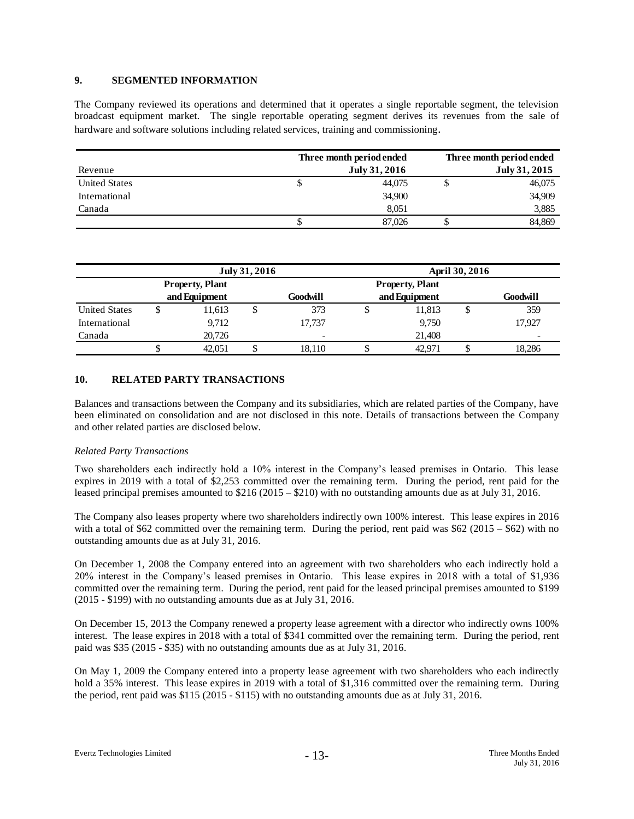### **9. SEGMENTED INFORMATION**

The Company reviewed its operations and determined that it operates a single reportable segment, the television broadcast equipment market. The single reportable operating segment derives its revenues from the sale of hardware and software solutions including related services, training and commissioning.

|                      | Three month period ended | Three month period ended |  |  |
|----------------------|--------------------------|--------------------------|--|--|
| Revenue              | July 31, 2016            | July 31, 2015            |  |  |
| <b>United States</b> | 44.075<br>Φ              | 46,075                   |  |  |
| International        | 34,900                   | 34,909                   |  |  |
| Canada               | 8.051                    | 3,885                    |  |  |
|                      | 87,026                   | 84.869                   |  |  |

|                      | July 31, 2016          |        |  |                          | <b>April 30, 2016</b> |        |   |                          |  |
|----------------------|------------------------|--------|--|--------------------------|-----------------------|--------|---|--------------------------|--|
|                      | <b>Property, Plant</b> |        |  | <b>Property, Plant</b>   |                       |        |   |                          |  |
|                      | and Equipment          |        |  | Goodwill                 | and Equipment         |        |   | Goodwill                 |  |
| <b>United States</b> |                        | 11,613 |  | 373                      |                       | 11,813 | Φ | 359                      |  |
| International        |                        | 9,712  |  | 17.737                   |                       | 9,750  |   | 17.927                   |  |
| Canada               |                        | 20,726 |  | $\overline{\phantom{a}}$ |                       | 21,408 |   | $\overline{\phantom{0}}$ |  |
|                      |                        | 42,051 |  | 18.110                   |                       | 42.971 |   | 18.286                   |  |

### **10. RELATED PARTY TRANSACTIONS**

Balances and transactions between the Company and its subsidiaries, which are related parties of the Company, have been eliminated on consolidation and are not disclosed in this note. Details of transactions between the Company and other related parties are disclosed below.

#### *Related Party Transactions*

Two shareholders each indirectly hold a 10% interest in the Company's leased premises in Ontario. This lease expires in 2019 with a total of \$2,253 committed over the remaining term. During the period, rent paid for the leased principal premises amounted to \$216 (2015 – \$210) with no outstanding amounts due as at July 31, 2016.

The Company also leases property where two shareholders indirectly own 100% interest. This lease expires in 2016 with a total of \$62 committed over the remaining term. During the period, rent paid was \$62 (2015 – \$62) with no outstanding amounts due as at July 31, 2016.

On December 1, 2008 the Company entered into an agreement with two shareholders who each indirectly hold a 20% interest in the Company's leased premises in Ontario. This lease expires in 2018 with a total of \$1,936 committed over the remaining term. During the period, rent paid for the leased principal premises amounted to \$199 (2015 - \$199) with no outstanding amounts due as at July 31, 2016.

On December 15, 2013 the Company renewed a property lease agreement with a director who indirectly owns 100% interest. The lease expires in 2018 with a total of \$341 committed over the remaining term. During the period, rent paid was \$35 (2015 - \$35) with no outstanding amounts due as at July 31, 2016.

On May 1, 2009 the Company entered into a property lease agreement with two shareholders who each indirectly hold a 35% interest. This lease expires in 2019 with a total of \$1,316 committed over the remaining term. During the period, rent paid was \$115 (2015 - \$115) with no outstanding amounts due as at July 31, 2016.